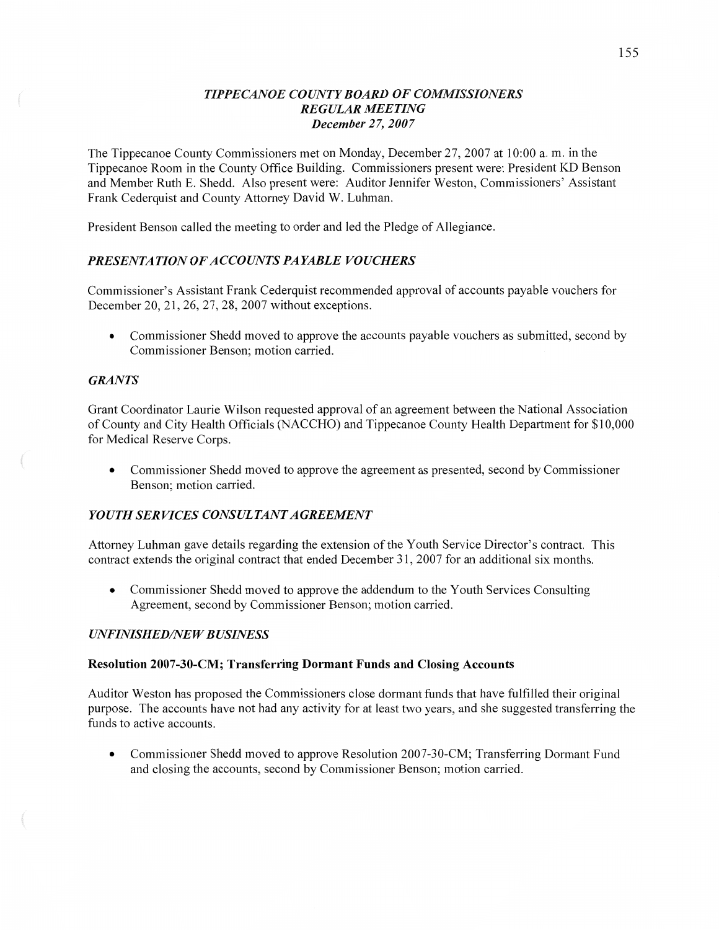## *TIPPE CANOE COUNTY BOARD* OF *COWISSIONERS REGULAR MEETING December* 27, *2007*

The Tippecanoe County Commissioners met on Monday, December 27, 2007 at 10:00 a. m. in the Tippecanoe Room in the County Office Building. Commissioners present were: President KD Benson and Member Ruth E. Shedd. Also present were: Auditor Jennifer Weston, Commissioners' Assistant Frank Cederquist and County Attorney David W. Luhman.

President Benson called the meeting to order and led the Pledge of Allegiance.

# **PRESENTATION OF ACCOUNTS PAYABLE VOUCHERS**

Commissioner's Assistant **Frank** Cederquist recommended approval of accounts payable vouchers for December 20, 21, 26, 27, 28, 2007 without exceptions.

*0* Commissioner Shedd moved to approve the accounts payable vouchers as submitted, second by Commissioner Benson; motion carried.

### *GRANTS*

**Grant** Coordinator Laurie Wilson requested approval of an agreement between the National Association of County and City Health Officials (NACCHO) and Tippecanoe County Health Department for \$10,000 for Medical Reserve Corps.

**0** Commissioner Shedd moved to approve the agreement as presented, second by Commissioner Benson; motion carried.

## *YOUTH SERVICES CONSULTANT AGREEMENT*

Attorney Luhman gave details regarding the extension of the Youth Service Director's contract. This contract extends the original contract that ended December 31, 2007 for an additional six months.

**0** Commissioner Shedd moved to approve the addendum to the Youth Services Consulting Agreement, second by Commissioner Benson; motion carried.

## **UNFINISHED/NEW BUSINESS**

### **Resolution 2007-30-CM; Transferring Dormant Funds** and Closing **Accounts**

Auditor Weston has proposed the Commissioners close dormant funds that have fulfilled their original purpose. The accounts have not had any activity for at least two years, and she suggested transferring the funds to active accounts.

**0** Commissioner Shedd moved to approve Resolution 2007-30-CM; Transferring Dormant Fund and closing the accounts, second by Commissioner Benson; motion carried.